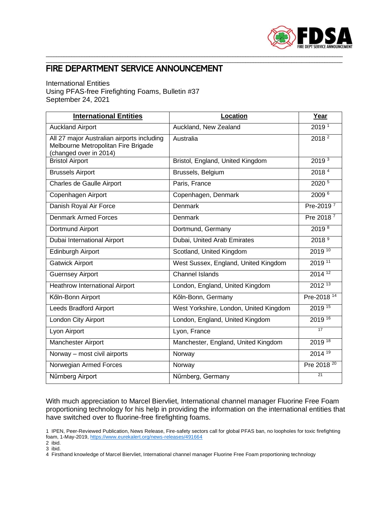

## FIRE DEPARTMENT SERVICE ANNOUNCEMENT

## International Entities Using PFAS-free Firefighting Foams, Bulletin #37 September 24, 2021

| <b>International Entities</b>                                                                               | Location                               | Year                   |
|-------------------------------------------------------------------------------------------------------------|----------------------------------------|------------------------|
| <b>Auckland Airport</b>                                                                                     | Auckland, New Zealand                  | 2019 <sup>1</sup>      |
| All 27 major Australian airports including<br>Melbourne Metropolitan Fire Brigade<br>(changed over in 2014) | Australia                              | 2018 <sup>2</sup>      |
| <b>Bristol Airport</b>                                                                                      | Bristol, England, United Kingdom       | 2019 <sup>3</sup>      |
| <b>Brussels Airport</b>                                                                                     | Brussels, Belgium                      | 2018 <sup>4</sup>      |
| Charles de Gaulle Airport                                                                                   | Paris, France                          | 2020 <sup>5</sup>      |
| Copenhagen Airport                                                                                          | Copenhagen, Denmark                    | 2009 <sup>6</sup>      |
| Danish Royal Air Force                                                                                      | <b>Denmark</b>                         | Pre-2019 <sup>7</sup>  |
| <b>Denmark Armed Forces</b>                                                                                 | Denmark                                | Pre 2018 <sup>7</sup>  |
| Dortmund Airport                                                                                            | Dortmund, Germany                      | 2019 8                 |
| Dubai International Airport                                                                                 | Dubai, United Arab Emirates            | 2018 <sup>9</sup>      |
| Edinburgh Airport                                                                                           | Scotland, United Kingdom               | 2019 10                |
| <b>Gatwick Airport</b>                                                                                      | West Sussex, England, United Kingdom   | 2019 11                |
| <b>Guernsey Airport</b>                                                                                     | <b>Channel Islands</b>                 | 2014 12                |
| <b>Heathrow International Airport</b>                                                                       | London, England, United Kingdom        | $2012^{13}$            |
| Kőln-Bonn Airport                                                                                           | Kőln-Bonn, Germany                     | Pre-2018 <sup>14</sup> |
| Leeds Bradford Airport                                                                                      | West Yorkshire, London, United Kingdom | 2019 15                |
| London City Airport                                                                                         | London, England, United Kingdom        | 2019 16                |
| Lyon Airport                                                                                                | Lyon, France                           | 17                     |
| Manchester Airport                                                                                          | Manchester, England, United Kingdom    | 2019 18                |
| Norway - most civil airports                                                                                | Norway                                 | $2014^{19}$            |
| Norwegian Armed Forces                                                                                      | Norway                                 | Pre 2018 <sup>20</sup> |
| Nűrnberg Airport                                                                                            | Nűrnberg, Germany                      | $\overline{21}$        |

\_\_\_\_\_\_\_\_\_\_\_\_\_\_\_\_\_\_\_\_\_\_\_\_\_\_\_\_\_\_\_\_\_\_\_\_\_\_\_\_\_\_\_\_\_\_\_\_\_\_\_\_\_\_\_\_\_\_\_\_\_\_\_\_\_\_\_\_\_\_\_\_\_\_\_\_\_\_\_\_\_\_\_\_\_\_\_\_\_\_\_\_\_\_\_\_\_\_\_\_\_\_\_\_\_\_\_\_\_\_\_\_\_\_\_\_ \_\_\_\_\_\_\_\_\_\_\_\_\_\_\_\_\_\_\_\_\_\_\_\_\_\_\_\_\_\_\_\_\_\_\_\_\_\_\_\_\_\_\_\_\_\_\_\_\_\_\_\_\_\_\_\_\_\_\_\_\_\_\_\_\_\_\_\_\_\_\_\_\_\_\_\_\_\_\_\_\_\_\_\_\_\_\_\_\_\_\_\_\_\_\_\_\_\_\_\_\_\_\_\_\_\_\_\_\_\_\_\_\_\_\_\_

With much appreciation to Marcel Biervliet, International channel manager Fluorine Free Foam proportioning technology for his help in providing the information on the international entities that have switched over to fluorine-free firefighting foams.

- 2 ibid.
- 3 ibid.

<sup>1</sup> IPEN, Peer-Reviewed Publication, News Release, Fire-safety sectors call for global PFAS ban, no loopholes for toxic firefighting foam, 1-May-2019[, https://www.eurekalert.org/news-releases/491664](https://www.eurekalert.org/news-releases/491664)

<sup>4</sup> Firsthand knowledge of Marcel Biervliet, International channel manager Fluorine Free Foam proportioning technology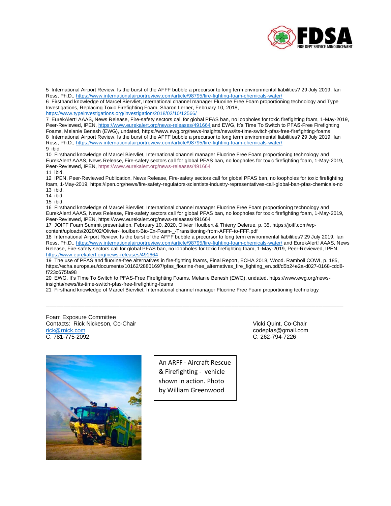

5 International Airport Review, Is the burst of the AFFF bubble a precursor to long term environmental liabilities? 29 July 2019, Ian Ross, Ph.D., <https://www.internationalairportreview.com/article/98795/fire-fighting-foam-chemicals-water/>

6 Firsthand knowledge of Marcel Biervliet, International channel manager Fluorine Free Foam proportioning technology and Type Investigations, Replacing Toxic Firefighting Foam, Sharon Lerner, February 10, 2018,

<https://www.typeinvestigations.org/investigation/2018/02/10/12566/>

7 EurekAlert! AAAS, News Release, Fire-safety sectors call for global PFAS ban, no loopholes for toxic firefighting foam, 1-May-2019, Peer-Reviewed, IPEN,<https://www.eurekalert.org/news-releases/491664> and EWG, It's Time To Switch to PFAS-Free Firefighting Foams, Melanie Benesh (EWG), undated, https://www.ewg.org/news-insights/news/its-time-switch-pfas-free-firefighting-foams 8 International Airport Review, Is the burst of the AFFF bubble a precursor to long term environmental liabilities? 29 July 2019, Ian Ross, Ph.D., <https://www.internationalairportreview.com/article/98795/fire-fighting-foam-chemicals-water/> 9 ibid.

10 Firsthand knowledge of Marcel Biervliet, International channel manager Fluorine Free Foam proportioning technology and EurekAlert! AAAS, News Release, Fire-safety sectors call for global PFAS ban, no loopholes for toxic firefighting foam, 1-May-2019, Peer-Reviewed, IPEN,<https://www.eurekalert.org/news-releases/491664> 11 ibid.

12 IPEN, Peer-Reviewed Publication, News Release, Fire-safety sectors call for global PFAS ban, no loopholes for toxic firefighting foam, 1-May-2019, https://ipen.org/news/fire-safety-regulators-scientists-industry-representatives-call-global-ban-pfas-chemicals-no 13 ibid.

14 ibid.

15 ibid.

16 Firsthand knowledge of Marcel Biervliet, International channel manager Fluorine Free Foam proportioning technology and EurekAlert! AAAS, News Release, Fire-safety sectors call for global PFAS ban, no loopholes for toxic firefighting foam, 1-May-2019, Peer-Reviewed, IPEN, https://www.eurekalert.org/news-releases/491664

17 JOIFF Foam Summit presentation, February 10, 2020, Olivier Houlbert & Thierry Delerue, p. 35, https://joiff.com/wpcontent/uploads/2020/02/Olivier-Houlbert-Bio-Ex-Foam-\_-Transitioning-from-AFFF-to-FFF.pdf

18 International Airport Review, Is the burst of the AFFF bubble a precursor to long term environmental liabilities? 29 July 2019, Ian Ross, Ph.D., <https://www.internationalairportreview.com/article/98795/fire-fighting-foam-chemicals-water/> and EurekAlert! AAAS, News Release, Fire-safety sectors call for global PFAS ban, no loopholes for toxic firefighting foam, 1-May-2019, Peer-Reviewed, IPEN, <https://www.eurekalert.org/news-releases/491664>

19 The use of PFAS and fluorine-free alternatives in fire-fighting foams, Final Report, ECHA 2018, Wood. Ramboll COWI, p. 185, https://echa.europa.eu/documents/10162/28801697/pfas\_flourine-free\_alternatives\_fire\_fighting\_en.pdf/d5b24e2a-d027-0168-cdd8 f723c675fa98

\_\_\_\_\_\_\_\_\_\_\_\_\_\_\_\_\_\_\_\_\_\_\_\_\_\_\_\_\_\_\_\_\_\_\_\_\_\_\_\_\_\_\_\_\_\_\_\_\_\_\_\_\_\_\_\_\_\_\_\_\_\_\_\_\_\_\_\_\_\_\_\_\_\_\_\_\_\_\_\_\_\_\_\_\_

20 EWG, It's Time To Switch to PFAS-Free Firefighting Foams, Melanie Benesh (EWG), undated, https://www.ewg.org/newsinsights/news/its-time-switch-pfas-free-firefighting-foams

21 Firsthand knowledge of Marcel Biervliet, International channel manager Fluorine Free Foam proportioning technology

Foam Exposure Committee Contacts: Rick Nickeson, Co-Chair Vicki Quint, Co-Chair Vicki Quint, Co-Chair [rick@rnick.com](mailto:rick@rnick.com) codepfas@gmail.com C. 781-775-2092 C. 262-794-7226



An ARFF - Aircraft Rescue & Firefighting - vehicle shown in action. Photo by William Greenwood